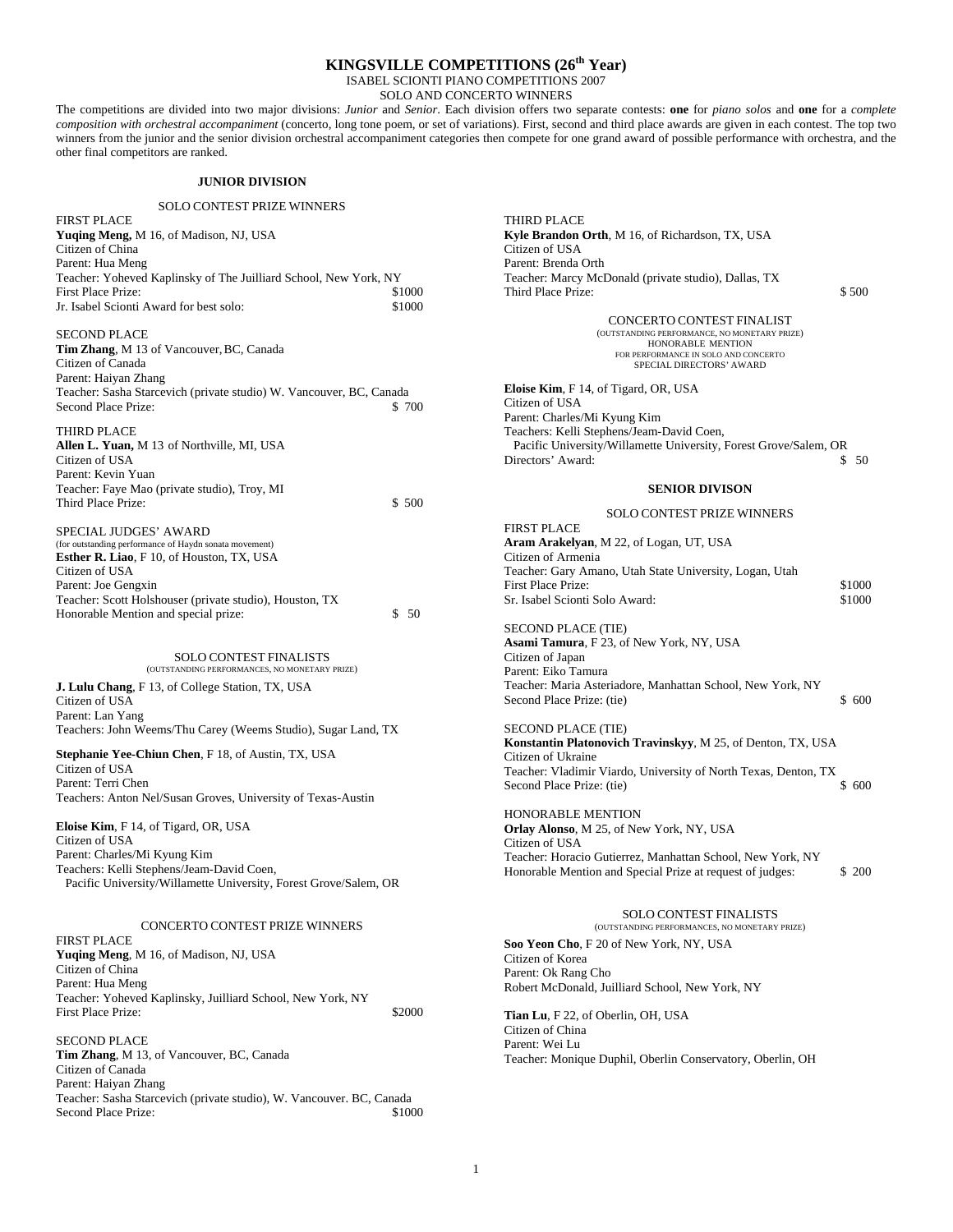### **KINGSVILLE COMPETITIONS (26th Year)**

ISABEL SCIONTI PIANO COMPETITIONS 2007

SOLO AND CONCERTO WINNERS

The competitions are divided into two major divisions: *Junior* and *Senior*. Each division offers two separate contests: **one** for *piano solos* and **one** for a *complete composition with orchestral accompaniment* (concerto, long tone poem, or set of variations). First, second and third place awards are given in each contest. The top two winners from the junior and the senior division orchestral accompaniment categories then compete for one grand award of possible performance with orchestra, and the other final competitors are ranked.

### **JUNIOR DIVISION**

### SOLO CONTEST PRIZE WINNERS

| <b>FIRST PLACE</b>                                               |        |
|------------------------------------------------------------------|--------|
| <b>Yuging Meng, M 16, of Madison, NJ, USA</b>                    |        |
| Citizen of China                                                 |        |
| Parent: Hua Meng                                                 |        |
| Teacher: Yoheved Kaplinsky of The Juilliard School, New York, NY |        |
| First Place Prize:                                               | \$1000 |
| Jr. Isabel Scionti Award for best solo:                          | \$1000 |
| <b>SECOND PLACE</b>                                              |        |
| <b>Tim Zhang, M</b> 13 of Vancouver, BC, Canada                  |        |

Citizen of Canada Parent: Haiyan Zhang Teacher: Sasha Starcevich (private studio) W. Vancouver, BC, Canada Second Place Prize:  $$ 700$ 

THIRD PLACE **Allen L. Yuan,** M 13 of Northville, MI, USA Citizen of USA Parent: Kevin Yuan Teacher: Faye Mao (private studio), Troy, MI Third Place Prize:  $$ 500$ 

SPECIAL JUDGES' AWARD (for outstanding performance of Haydn sonata movement) **Esther R. Liao**, F 10, of Houston, TX, USA Citizen of USA Parent: Joe Gengxin Teacher: Scott Holshouser (private studio), Houston, TX Honorable Mention and special prize: \$ 50

> SOLO CONTEST FINALISTS (OUTSTANDING PERFORMANCES, NO MONETARY PRIZE)

**J. Lulu Chang**, F 13, of College Station, TX, USA Citizen of USA Parent: Lan Yang Teachers: John Weems/Thu Carey (Weems Studio), Sugar Land, TX

**Stephanie Yee-Chiun Chen**, F 18, of Austin, TX, USA

Citizen of USA Parent: Terri Chen Teachers: Anton Nel/Susan Groves, University of Texas-Austin

**Eloise Kim**, F 14, of Tigard, OR, USA Citizen of USA Parent: Charles/Mi Kyung Kim Teachers: Kelli Stephens/Jeam-David Coen, Pacific University/Willamette University, Forest Grove/Salem, OR

### CONCERTO CONTEST PRIZE WINNERS

FIRST PLACE **Yuqing Meng**, M 16, of Madison, NJ, USA Citizen of China Parent: Hua Meng Teacher: Yoheved Kaplinsky, Juilliard School, New York, NY First Place Prize:  $$2000$ 

SECOND PLACE **Tim Zhang**, M 13, of Vancouver, BC, Canada Citizen of Canada Parent: Haiyan Zhang Teacher: Sasha Starcevich (private studio), W. Vancouver. BC, Canada Second Place Prize:  $$1000$  THIRD PLACE **Kyle Brandon Orth**, M 16, of Richardson, TX, USA Citizen of USA Parent: Brenda Orth Teacher: Marcy McDonald (private studio), Dallas, TX Third Place Prize:  $$500$ 

CONCERTO CONTEST FINALIST (OUTSTANDING PERFORMANCE, NO MONETARY PRIZE) HONORABLE MENTION FOR PERFORMANCE IN SOLO AND CONCERTO SPECIAL DIRECTORS' AWARD

**Eloise Kim**, F 14, of Tigard, OR, USA Citizen of USA Parent: Charles/Mi Kyung Kim Teachers: Kelli Stephens/Jeam-David Coen, Pacific University/Willamette University, Forest Grove/Salem, OR Directors' Award:  $$ 50$ 

#### **SENIOR DIVISON**

### SOLO CONTEST PRIZE WINNERS FIRST PLACE **Aram Arakelyan**, M 22, of Logan, UT, USA Citizen of Armenia Teacher: Gary Amano, Utah State University, Logan, Utah First Place Prize:  $$1000$ Sr. Isabel Scionti Solo Award:  $$1000$

SECOND PLACE (TIE) **Asami Tamura**, F 23, of New York, NY, USA Citizen of Japan Parent: Eiko Tamura Teacher: Maria Asteriadore, Manhattan School, New York, NY Second Place Prize: (tie)  $$600$ 

SECOND PLACE (TIE) **Konstantin Platonovich Travinskyy**, M 25, of Denton, TX, USA Citizen of Ukraine Teacher: Vladimir Viardo, University of North Texas, Denton, TX Second Place Prize: (tie) \$ 600

HONORABLE MENTION **Orlay Alonso**, M 25, of New York, NY, USA Citizen of USA Teacher: Horacio Gutierrez, Manhattan School, New York, NY Honorable Mention and Special Prize at request of judges: \$200

### SOLO CONTEST FINALISTS

(OUTSTANDING PERFORMANCES, NO MONETARY PRIZE)

**Soo Yeon Cho**, F 20 of New York, NY, USA Citizen of Korea Parent: Ok Rang Cho Robert McDonald, Juilliard School, New York, NY

**Tian Lu**, F 22, of Oberlin, OH, USA Citizen of China Parent: Wei Lu Teacher: Monique Duphil, Oberlin Conservatory, Oberlin, OH